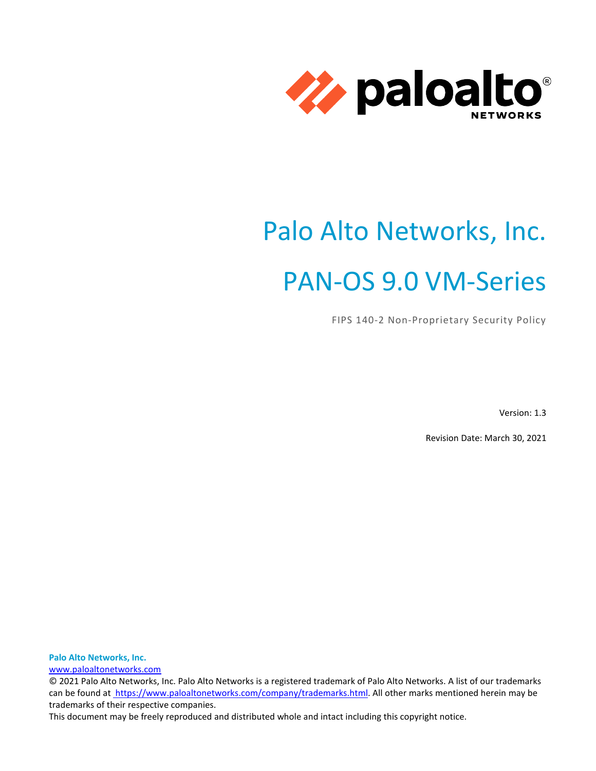

# Palo Alto Networks, Inc. PAN-OS 9.0 VM-Series

FIPS 140-2 Non-Proprietary Security Policy

Version: 1.3

Revision Date: March 30, 2021

<span id="page-0-0"></span>**Palo Alto Networks, Inc.** [www.paloaltonetworks.com](http://www.paloaltonetworks.com/)

© 2021 Palo Alto Networks, Inc. Palo Alto Networks is a registered trademark of Palo Alto Networks. A list of our trademarks can be found at [https://www.paloaltonetworks.com/company/trademarks.html.](https://www.paloaltonetworks.com/company/trademarks.html) All other marks mentioned herein may be trademarks of their respective companies.

This document may be freely reproduced and distributed whole and intact including this copyright notice.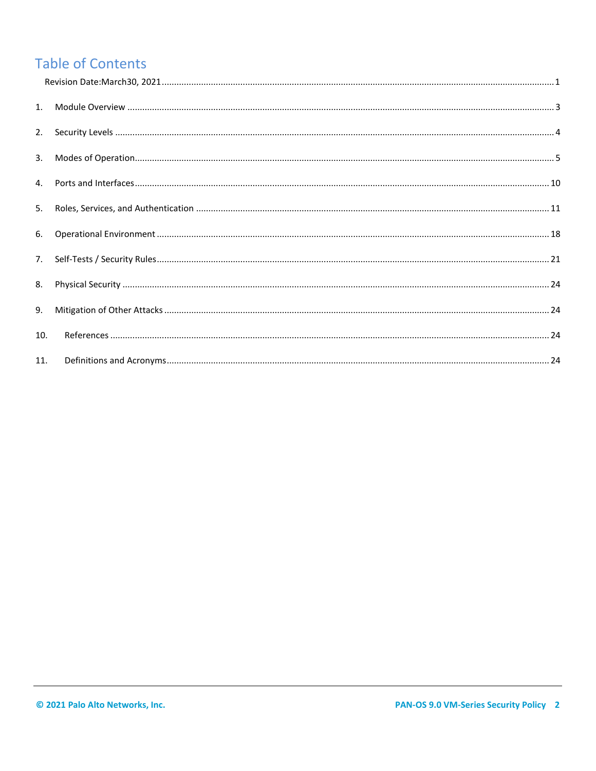# **Table of Contents**

| 5.  |  |
|-----|--|
|     |  |
|     |  |
|     |  |
| 9.  |  |
| 10. |  |
| 11. |  |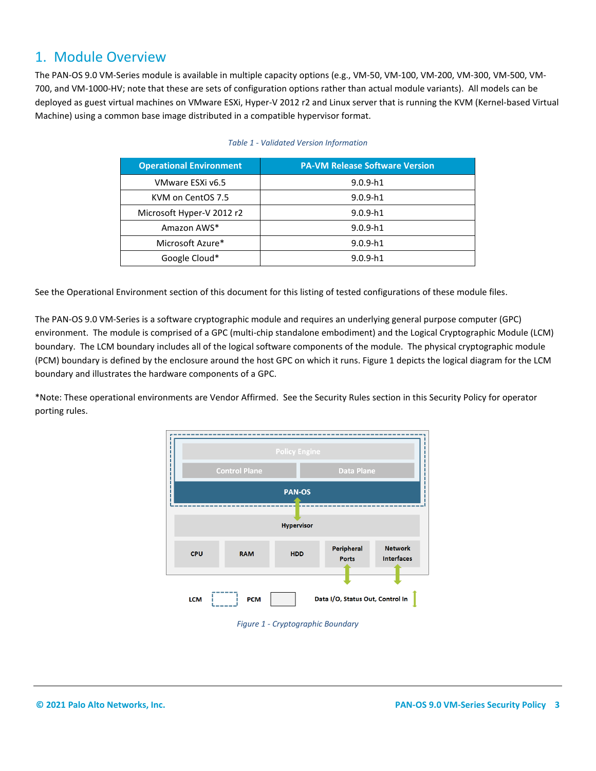### <span id="page-2-0"></span>1. Module Overview

The PAN-OS 9.0 VM-Series module is available in multiple capacity options (e.g., VM-50, VM-100, VM-200, VM-300, VM-500, VM-700, and VM-1000-HV; note that these are sets of configuration options rather than actual module variants). All models can be deployed as guest virtual machines on VMware ESXi, Hyper-V 2012 r2 and Linux server that is running the KVM (Kernel-based Virtual Machine) using a common base image distributed in a compatible hypervisor format.

| <b>Operational Environment</b> | <b>PA-VM Release Software Version</b> |
|--------------------------------|---------------------------------------|
| VMware ESXi v6.5               | $9.0.9-h1$                            |
| KVM on CentOS 7.5              | $9.0.9-h1$                            |
| Microsoft Hyper-V 2012 r2      | $9.0.9-h1$                            |
| Amazon AWS*                    | $9.0.9-h1$                            |
| Microsoft Azure*               | $9.0.9-h1$                            |
| Google Cloud*                  | $9.0.9-h1$                            |

#### *Table 1 - Validated Version Information*

See the Operational Environment section of this document for this listing of tested configurations of these module files.

The PAN-OS 9.0 VM-Series is a software cryptographic module and requires an underlying general purpose computer (GPC) environment. The module is comprised of a GPC (multi-chip standalone embodiment) and the Logical Cryptographic Module (LCM) boundary. The LCM boundary includes all of the logical software components of the module. The physical cryptographic module (PCM) boundary is defined by the enclosure around the host GPC on which it runs[. Figure 1](#page-2-1) depicts the logical diagram for the LCM boundary and illustrates the hardware components of a GPC.

\*Note: These operational environments are Vendor Affirmed. See the Security Rules section in this Security Policy for operator porting rules.



<span id="page-2-1"></span>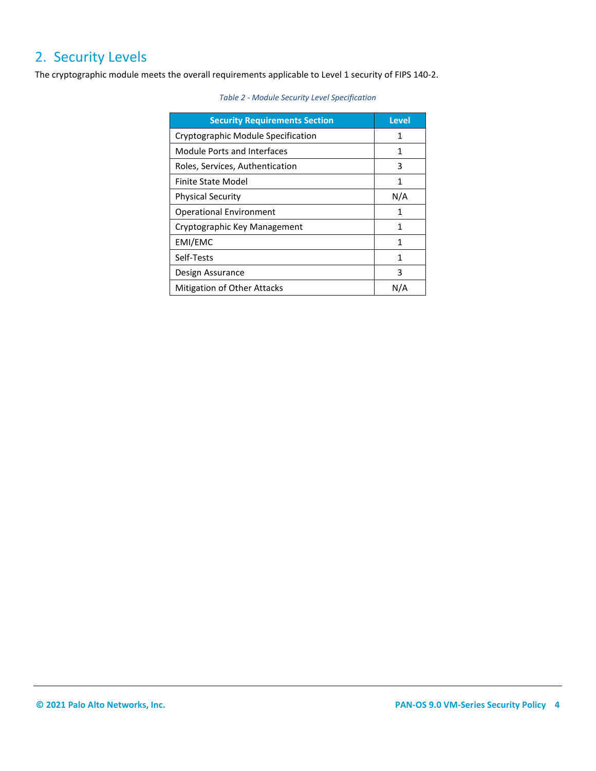# <span id="page-3-0"></span>2. Security Levels

The cryptographic module meets the overall requirements applicable to Level 1 security of FIPS 140-2.

#### *Table 2 - Module Security Level Specification*

<span id="page-3-1"></span>

| <b>Security Requirements Section</b> | <b>Level</b> |
|--------------------------------------|--------------|
| Cryptographic Module Specification   |              |
| Module Ports and Interfaces          | 1            |
| Roles, Services, Authentication      | 3            |
| Finite State Model                   | 1            |
| <b>Physical Security</b>             | N/A          |
| <b>Operational Environment</b>       | 1            |
| Cryptographic Key Management         | 1            |
| EMI/EMC                              | 1            |
| Self-Tests                           | 1            |
| Design Assurance                     | 3            |
| <b>Mitigation of Other Attacks</b>   | N/A          |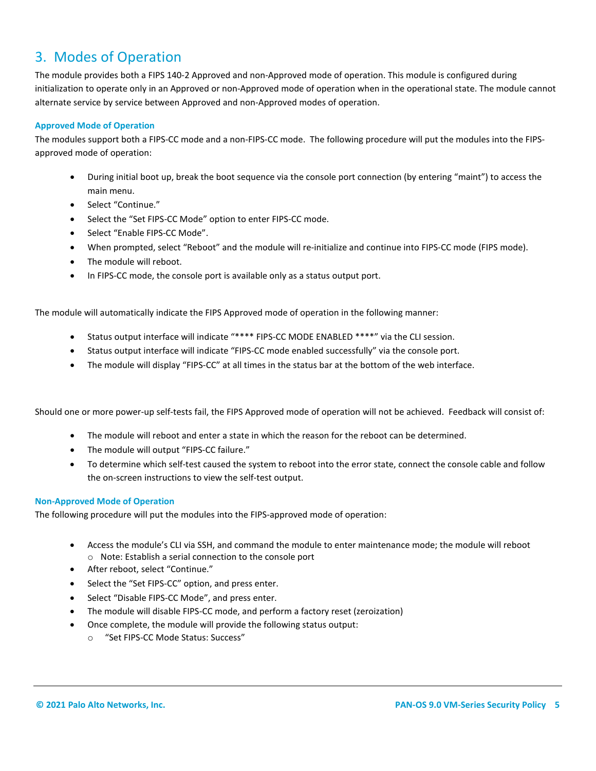# 3. Modes of Operation

The module provides both a FIPS 140-2 Approved and non-Approved mode of operation. This module is configured during initialization to operate only in an Approved or non-Approved mode of operation when in the operational state. The module cannot alternate service by service between Approved and non-Approved modes of operation.

#### **Approved Mode of Operation**

The modules support both a FIPS-CC mode and a non-FIPS-CC mode. The following procedure will put the modules into the FIPSapproved mode of operation:

- During initial boot up, break the boot sequence via the console port connection (by entering "maint") to access the main menu.
- Select "Continue."
- Select the "Set FIPS-CC Mode" option to enter FIPS-CC mode.
- Select "Enable FIPS-CC Mode".
- When prompted, select "Reboot" and the module will re-initialize and continue into FIPS-CC mode (FIPS mode).
- The module will reboot.
- In FIPS-CC mode, the console port is available only as a status output port.

The module will automatically indicate the FIPS Approved mode of operation in the following manner:

- Status output interface will indicate "\*\*\*\* FIPS-CC MODE ENABLED \*\*\*\*" via the CLI session.
- Status output interface will indicate "FIPS-CC mode enabled successfully" via the console port.
- The module will display "FIPS-CC" at all times in the status bar at the bottom of the web interface.

Should one or more power-up self-tests fail, the FIPS Approved mode of operation will not be achieved. Feedback will consist of:

- The module will reboot and enter a state in which the reason for the reboot can be determined.
- The module will output "FIPS-CC failure."
- To determine which self-test caused the system to reboot into the error state, connect the console cable and follow the on-screen instructions to view the self-test output.

#### **Non-Approved Mode of Operation**

The following procedure will put the modules into the FIPS-approved mode of operation:

- Access the module's CLI via SSH, and command the module to enter maintenance mode; the module will reboot o Note: Establish a serial connection to the console port
- After reboot, select "Continue."
- Select the "Set FIPS-CC" option, and press enter.
- Select "Disable FIPS-CC Mode", and press enter.
- The module will disable FIPS-CC mode, and perform a factory reset (zeroization)
- Once complete, the module will provide the following status output:
	- o "Set FIPS-CC Mode Status: Success"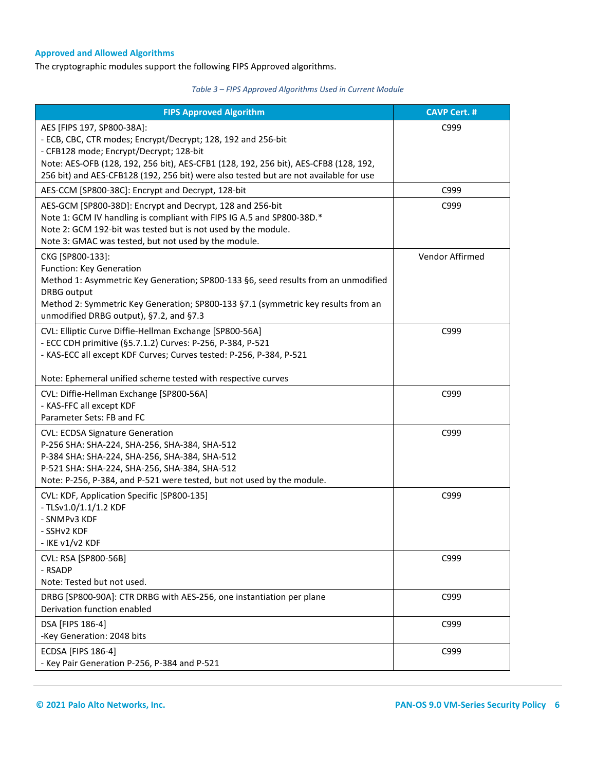#### **Approved and Allowed Algorithms**

The cryptographic modules support the following FIPS Approved algorithms.

#### *Table 3 – FIPS Approved Algorithms Used in Current Module*

| <b>FIPS Approved Algorithm</b>                                                                                                  | <b>CAVP Cert. #</b> |
|---------------------------------------------------------------------------------------------------------------------------------|---------------------|
| AES [FIPS 197, SP800-38A]:                                                                                                      | C999                |
| - ECB, CBC, CTR modes; Encrypt/Decrypt; 128, 192 and 256-bit                                                                    |                     |
| - CFB128 mode; Encrypt/Decrypt; 128-bit<br>Note: AES-OFB (128, 192, 256 bit), AES-CFB1 (128, 192, 256 bit), AES-CFB8 (128, 192, |                     |
| 256 bit) and AES-CFB128 (192, 256 bit) were also tested but are not available for use                                           |                     |
| AES-CCM [SP800-38C]: Encrypt and Decrypt, 128-bit                                                                               | C999                |
| AES-GCM [SP800-38D]: Encrypt and Decrypt, 128 and 256-bit                                                                       | C999                |
| Note 1: GCM IV handling is compliant with FIPS IG A.5 and SP800-38D.*                                                           |                     |
| Note 2: GCM 192-bit was tested but is not used by the module.                                                                   |                     |
| Note 3: GMAC was tested, but not used by the module.                                                                            |                     |
| CKG [SP800-133]:<br>Function: Key Generation                                                                                    | Vendor Affirmed     |
| Method 1: Asymmetric Key Generation; SP800-133 §6, seed results from an unmodified                                              |                     |
| <b>DRBG</b> output                                                                                                              |                     |
| Method 2: Symmetric Key Generation; SP800-133 §7.1 (symmetric key results from an                                               |                     |
| unmodified DRBG output), §7.2, and §7.3                                                                                         |                     |
| CVL: Elliptic Curve Diffie-Hellman Exchange [SP800-56A]                                                                         | C999                |
| - ECC CDH primitive (§5.7.1.2) Curves: P-256, P-384, P-521                                                                      |                     |
| - KAS-ECC all except KDF Curves; Curves tested: P-256, P-384, P-521                                                             |                     |
| Note: Ephemeral unified scheme tested with respective curves                                                                    |                     |
| CVL: Diffie-Hellman Exchange [SP800-56A]                                                                                        | C999                |
| - KAS-FFC all except KDF                                                                                                        |                     |
| Parameter Sets: FB and FC                                                                                                       |                     |
| <b>CVL: ECDSA Signature Generation</b>                                                                                          | C999                |
| P-256 SHA: SHA-224, SHA-256, SHA-384, SHA-512                                                                                   |                     |
| P-384 SHA: SHA-224, SHA-256, SHA-384, SHA-512<br>P-521 SHA: SHA-224, SHA-256, SHA-384, SHA-512                                  |                     |
| Note: P-256, P-384, and P-521 were tested, but not used by the module.                                                          |                     |
| CVL: KDF, Application Specific [SP800-135]                                                                                      | C999                |
| - TLSv1.0/1.1/1.2 KDF                                                                                                           |                     |
| - SNMPv3 KDF                                                                                                                    |                     |
| - SSHv2 KDF                                                                                                                     |                     |
| - IKE v1/v2 KDF                                                                                                                 |                     |
| CVL: RSA [SP800-56B]                                                                                                            | C999                |
| - RSADP                                                                                                                         |                     |
| Note: Tested but not used.                                                                                                      |                     |
| DRBG [SP800-90A]: CTR DRBG with AES-256, one instantiation per plane<br>Derivation function enabled                             | C999                |
| DSA [FIPS 186-4]                                                                                                                | C999                |
| -Key Generation: 2048 bits                                                                                                      |                     |
| <b>ECDSA [FIPS 186-4]</b>                                                                                                       | C999                |
| - Key Pair Generation P-256, P-384 and P-521                                                                                    |                     |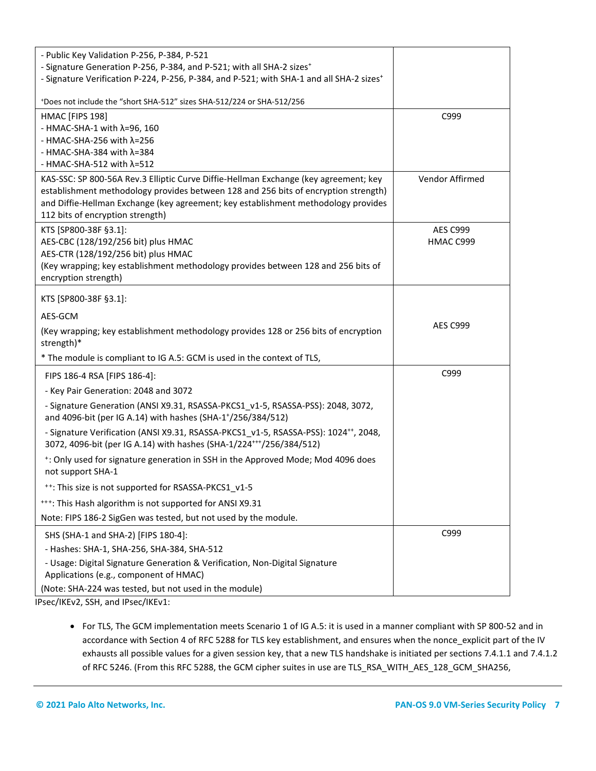| - Public Key Validation P-256, P-384, P-521<br>- Signature Generation P-256, P-384, and P-521; with all SHA-2 sizes <sup>+</sup><br>- Signature Verification P-224, P-256, P-384, and P-521; with SHA-1 and all SHA-2 sizes <sup>+</sup>                                                              |                              |
|-------------------------------------------------------------------------------------------------------------------------------------------------------------------------------------------------------------------------------------------------------------------------------------------------------|------------------------------|
| *Does not include the "short SHA-512" sizes SHA-512/224 or SHA-512/256                                                                                                                                                                                                                                |                              |
| HMAC [FIPS 198]<br>- HMAC-SHA-1 with $\lambda$ =96, 160<br>- HMAC-SHA-256 with $\lambda$ =256<br>- HMAC-SHA-384 with $\lambda$ =384<br>- HMAC-SHA-512 with $\lambda$ =512                                                                                                                             | C999                         |
| KAS-SSC: SP 800-56A Rev.3 Elliptic Curve Diffie-Hellman Exchange (key agreement; key<br>establishment methodology provides between 128 and 256 bits of encryption strength)<br>and Diffie-Hellman Exchange (key agreement; key establishment methodology provides<br>112 bits of encryption strength) | Vendor Affirmed              |
| KTS [SP800-38F §3.1]:<br>AES-CBC (128/192/256 bit) plus HMAC<br>AES-CTR (128/192/256 bit) plus HMAC<br>(Key wrapping; key establishment methodology provides between 128 and 256 bits of<br>encryption strength)                                                                                      | <b>AES C999</b><br>HMAC C999 |
| KTS [SP800-38F §3.1]:                                                                                                                                                                                                                                                                                 |                              |
| AES-GCM                                                                                                                                                                                                                                                                                               |                              |
| (Key wrapping; key establishment methodology provides 128 or 256 bits of encryption<br>strength)*                                                                                                                                                                                                     | <b>AES C999</b>              |
| * The module is compliant to IG A.5: GCM is used in the context of TLS,                                                                                                                                                                                                                               |                              |
| FIPS 186-4 RSA [FIPS 186-4]:<br>- Key Pair Generation: 2048 and 3072                                                                                                                                                                                                                                  | C999                         |
| - Signature Generation (ANSI X9.31, RSASSA-PKCS1 v1-5, RSASSA-PSS): 2048, 3072,<br>and 4096-bit (per IG A.14) with hashes (SHA-1+/256/384/512)                                                                                                                                                        |                              |
| - Signature Verification (ANSI X9.31, RSASSA-PKCS1_v1-5, RSASSA-PSS): 1024 <sup>++</sup> , 2048,<br>3072, 4096-bit (per IG A.14) with hashes (SHA-1/224***/256/384/512)                                                                                                                               |                              |
| <sup>+</sup> : Only used for signature generation in SSH in the Approved Mode; Mod 4096 does<br>not support SHA-1                                                                                                                                                                                     |                              |
| **: This size is not supported for RSASSA-PKCS1 v1-5                                                                                                                                                                                                                                                  |                              |
| ***: This Hash algorithm is not supported for ANSI X9.31                                                                                                                                                                                                                                              |                              |
| Note: FIPS 186-2 SigGen was tested, but not used by the module.                                                                                                                                                                                                                                       |                              |
| SHS (SHA-1 and SHA-2) [FIPS 180-4]:<br>- Hashes: SHA-1, SHA-256, SHA-384, SHA-512<br>- Usage: Digital Signature Generation & Verification, Non-Digital Signature<br>Applications (e.g., component of HMAC)<br>(Note: SHA-224 was tested, but not used in the module)                                  | C999                         |
| $\sim$ (BZE) $\sim$ 0.000 $\sim$ $\sim$ 4.10 $\sim$ $\sim$ (BZE) $\sim$                                                                                                                                                                                                                               |                              |

IPsec/IKEv2, SSH, and IPsec/IKEv1:

• For TLS, The GCM implementation meets Scenario 1 of IG A.5: it is used in a manner compliant with SP 800-52 and in accordance with Section 4 of RFC 5288 for TLS key establishment, and ensures when the nonce\_explicit part of the IV exhausts all possible values for a given session key, that a new TLS handshake is initiated per sections 7.4.1.1 and 7.4.1.2 of RFC 5246. (From this RFC 5288, the GCM cipher suites in use are TLS\_RSA\_WITH\_AES\_128\_GCM\_SHA256,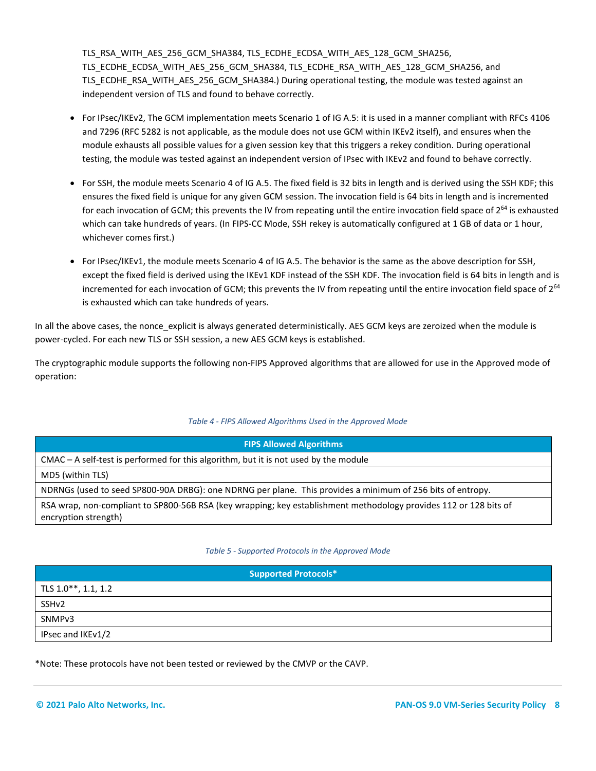TLS\_RSA\_WITH\_AES\_256\_GCM\_SHA384, TLS\_ECDHE\_ECDSA\_WITH\_AES\_128\_GCM\_SHA256, TLS\_ECDHE\_ECDSA\_WITH\_AES\_256\_GCM\_SHA384, TLS\_ECDHE\_RSA\_WITH\_AES\_128\_GCM\_SHA256, and TLS\_ECDHE\_RSA\_WITH\_AES\_256\_GCM\_SHA384.) During operational testing, the module was tested against an independent version of TLS and found to behave correctly.

- For IPsec/IKEv2, The GCM implementation meets Scenario 1 of IG A.5: it is used in a manner compliant with RFCs 4106 and 7296 (RFC 5282 is not applicable, as the module does not use GCM within IKEv2 itself), and ensures when the module exhausts all possible values for a given session key that this triggers a rekey condition. During operational testing, the module was tested against an independent version of IPsec with IKEv2 and found to behave correctly.
- For SSH, the module meets Scenario 4 of IG A.5. The fixed field is 32 bits in length and is derived using the SSH KDF; this ensures the fixed field is unique for any given GCM session. The invocation field is 64 bits in length and is incremented for each invocation of GCM; this prevents the IV from repeating until the entire invocation field space of  $2^{64}$  is exhausted which can take hundreds of years. (In FIPS-CC Mode, SSH rekey is automatically configured at 1 GB of data or 1 hour, whichever comes first.)
- For IPsec/IKEv1, the module meets Scenario 4 of IG A.5. The behavior is the same as the above description for SSH, except the fixed field is derived using the IKEv1 KDF instead of the SSH KDF. The invocation field is 64 bits in length and is incremented for each invocation of GCM; this prevents the IV from repeating until the entire invocation field space of 2<sup>64</sup> is exhausted which can take hundreds of years.

In all the above cases, the nonce explicit is always generated deterministically. AES GCM keys are zeroized when the module is power-cycled. For each new TLS or SSH session, a new AES GCM keys is established.

The cryptographic module supports the following non-FIPS Approved algorithms that are allowed for use in the Approved mode of operation:

#### *Table 4 - FIPS Allowed Algorithms Used in the Approved Mode*

| <b>FIPS Allowed Algorithms</b>                                                                                                            |
|-------------------------------------------------------------------------------------------------------------------------------------------|
| $CMAC - A$ self-test is performed for this algorithm, but it is not used by the module                                                    |
| MD5 (within TLS)                                                                                                                          |
| NDRNGs (used to seed SP800-90A DRBG): one NDRNG per plane. This provides a minimum of 256 bits of entropy.                                |
| RSA wrap, non-compliant to SP800-56B RSA (key wrapping; key establishment methodology provides 112 or 128 bits of<br>encryption strength) |

#### *Table 5 - Supported Protocols in the Approved Mode*

#### **Supported Protocols\***

| $\vert$ TLS 1.0**, 1.1, 1.2 |  |
|-----------------------------|--|
| SSHv2                       |  |
| SNMP <sub>v3</sub>          |  |
| IPsec and IKEv1/2           |  |

\*Note: These protocols have not been tested or reviewed by the CMVP or the CAVP.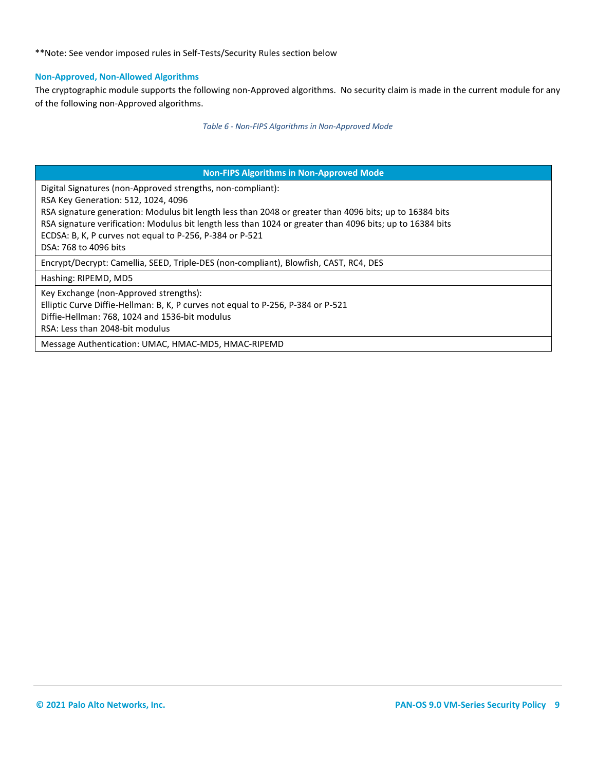\*\*Note: See vendor imposed rules in Self-Tests/Security Rules section below

#### **Non-Approved, Non-Allowed Algorithms**

The cryptographic module supports the following non-Approved algorithms. No security claim is made in the current module for any of the following non-Approved algorithms.

*Table 6 - Non-FIPS Algorithms in Non-Approved Mode*

<span id="page-8-0"></span>

| <b>Non-FIPS Algorithms in Non-Approved Mode</b>                                                           |
|-----------------------------------------------------------------------------------------------------------|
| Digital Signatures (non-Approved strengths, non-compliant):                                               |
| RSA Key Generation: 512, 1024, 4096                                                                       |
| RSA signature generation: Modulus bit length less than 2048 or greater than 4096 bits; up to 16384 bits   |
| RSA signature verification: Modulus bit length less than 1024 or greater than 4096 bits; up to 16384 bits |
| ECDSA: B, K, P curves not equal to P-256, P-384 or P-521                                                  |
| DSA: 768 to 4096 bits                                                                                     |
| Encrypt/Decrypt: Camellia, SEED, Triple-DES (non-compliant), Blowfish, CAST, RC4, DES                     |
| Hashing: RIPEMD, MD5                                                                                      |
| Key Exchange (non-Approved strengths):                                                                    |
| Elliptic Curve Diffie-Hellman: B, K, P curves not equal to P-256, P-384 or P-521                          |
| Diffie-Hellman: 768, 1024 and 1536-bit modulus                                                            |
| RSA: Less than 2048-bit modulus                                                                           |
| Message Authentication: UMAC, HMAC-MD5, HMAC-RIPEMD                                                       |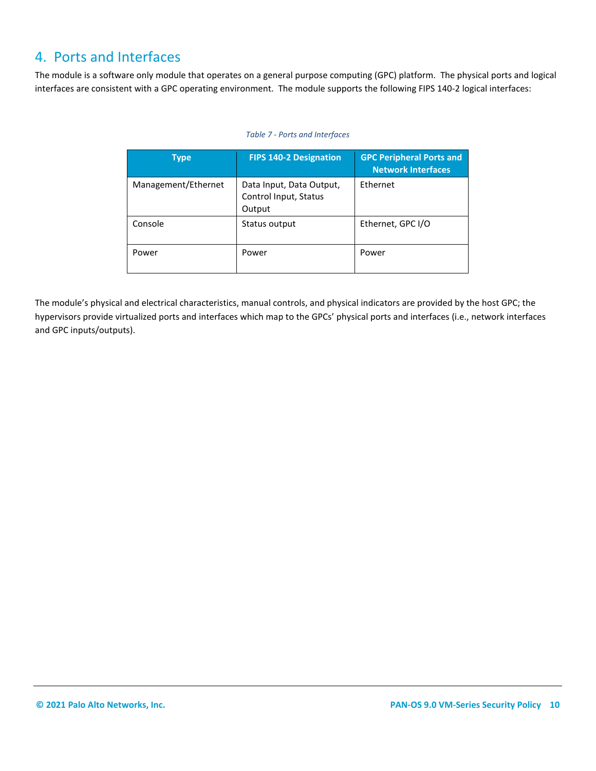# 4. Ports and Interfaces

The module is a software only module that operates on a general purpose computing (GPC) platform. The physical ports and logical interfaces are consistent with a GPC operating environment. The module supports the following FIPS 140-2 logical interfaces:

#### *Table 7 - Ports and Interfaces*

| <b>Type</b>         | <b>FIPS 140-2 Designation</b>                               | <b>GPC Peripheral Ports and</b><br><b>Network Interfaces</b> |
|---------------------|-------------------------------------------------------------|--------------------------------------------------------------|
| Management/Ethernet | Data Input, Data Output,<br>Control Input, Status<br>Output | Ethernet                                                     |
| Console             | Status output                                               | Ethernet, GPC I/O                                            |
| Power               | Power                                                       | Power                                                        |

The module's physical and electrical characteristics, manual controls, and physical indicators are provided by the host GPC; the hypervisors provide virtualized ports and interfaces which map to the GPCs' physical ports and interfaces (i.e., network interfaces and GPC inputs/outputs).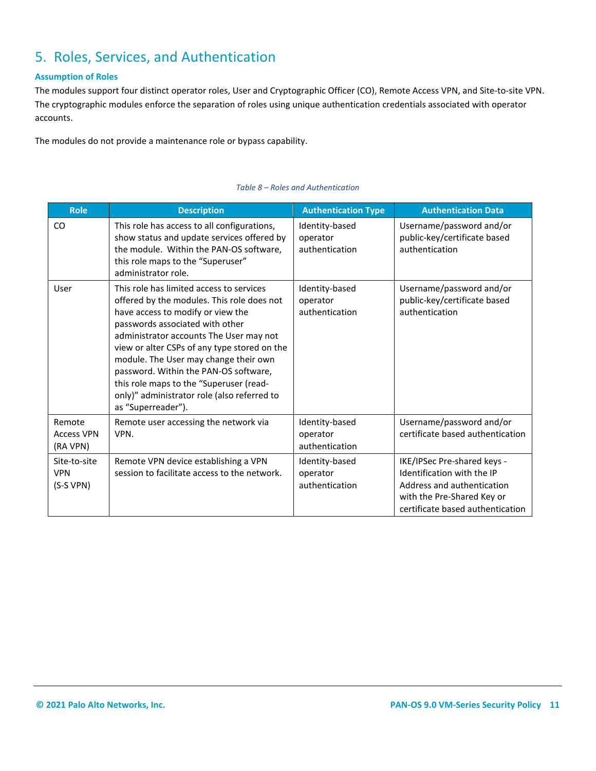# <span id="page-10-0"></span>5. Roles, Services, and Authentication

#### **Assumption of Roles**

The modules support four distinct operator roles, User and Cryptographic Officer (CO), Remote Access VPN, and Site-to-site VPN. The cryptographic modules enforce the separation of roles using unique authentication credentials associated with operator accounts.

The modules do not provide a maintenance role or bypass capability.

| <b>Role</b>                             | <b>Description</b>                                                                                                                                                                                                                                                                                                                                                                                                                                          | <b>Authentication Type</b>                   | <b>Authentication Data</b>                                                                                                                                |
|-----------------------------------------|-------------------------------------------------------------------------------------------------------------------------------------------------------------------------------------------------------------------------------------------------------------------------------------------------------------------------------------------------------------------------------------------------------------------------------------------------------------|----------------------------------------------|-----------------------------------------------------------------------------------------------------------------------------------------------------------|
| CO.                                     | This role has access to all configurations,<br>show status and update services offered by<br>the module. Within the PAN-OS software,<br>this role maps to the "Superuser"<br>administrator role.                                                                                                                                                                                                                                                            | Identity-based<br>operator<br>authentication | Username/password and/or<br>public-key/certificate based<br>authentication                                                                                |
| User                                    | This role has limited access to services<br>offered by the modules. This role does not<br>have access to modify or view the<br>passwords associated with other<br>administrator accounts The User may not<br>view or alter CSPs of any type stored on the<br>module. The User may change their own<br>password. Within the PAN-OS software,<br>this role maps to the "Superuser (read-<br>only)" administrator role (also referred to<br>as "Superreader"). | Identity-based<br>operator<br>authentication | Username/password and/or<br>public-key/certificate based<br>authentication                                                                                |
| Remote<br><b>Access VPN</b><br>(RA VPN) | Remote user accessing the network via<br>VPN.                                                                                                                                                                                                                                                                                                                                                                                                               | Identity-based<br>operator<br>authentication | Username/password and/or<br>certificate based authentication                                                                                              |
| Site-to-site<br><b>VPN</b><br>(S-S VPN) | Remote VPN device establishing a VPN<br>session to facilitate access to the network.                                                                                                                                                                                                                                                                                                                                                                        | Identity-based<br>operator<br>authentication | IKE/IPSec Pre-shared keys -<br>Identification with the IP<br>Address and authentication<br>with the Pre-Shared Key or<br>certificate based authentication |

#### *Table 8 – Roles and Authentication*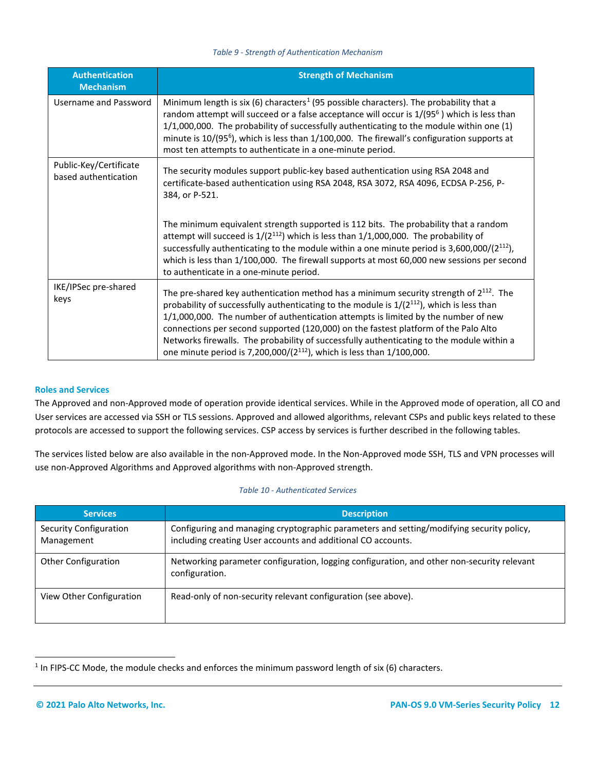#### *Table 9 - Strength of Authentication Mechanism*

| <b>Authentication</b><br><b>Mechanism</b>      | <b>Strength of Mechanism</b>                                                                                                                                                                                                                                                                                                                                                                                                                                                                                                                           |
|------------------------------------------------|--------------------------------------------------------------------------------------------------------------------------------------------------------------------------------------------------------------------------------------------------------------------------------------------------------------------------------------------------------------------------------------------------------------------------------------------------------------------------------------------------------------------------------------------------------|
| Username and Password                          | Minimum length is six (6) characters <sup>1</sup> (95 possible characters). The probability that a<br>random attempt will succeed or a false acceptance will occur is 1/(95 <sup>6</sup> ) which is less than<br>1/1,000,000. The probability of successfully authenticating to the module within one (1)<br>minute is 10/(95 <sup>6</sup> ), which is less than 1/100,000. The firewall's configuration supports at<br>most ten attempts to authenticate in a one-minute period.                                                                      |
| Public-Key/Certificate<br>based authentication | The security modules support public-key based authentication using RSA 2048 and<br>certificate-based authentication using RSA 2048, RSA 3072, RSA 4096, ECDSA P-256, P-<br>384, or P-521.<br>The minimum equivalent strength supported is 112 bits. The probability that a random                                                                                                                                                                                                                                                                      |
|                                                | attempt will succeed is $1/(2^{112})$ which is less than $1/1,000,000$ . The probability of<br>successfully authenticating to the module within a one minute period is $3,600,000/(2^{112})$ ,<br>which is less than 1/100,000. The firewall supports at most 60,000 new sessions per second<br>to authenticate in a one-minute period.                                                                                                                                                                                                                |
| IKE/IPSec pre-shared<br>keys                   | The pre-shared key authentication method has a minimum security strength of $2^{112}$ . The<br>probability of successfully authenticating to the module is $1/(2^{112})$ , which is less than<br>1/1,000,000. The number of authentication attempts is limited by the number of new<br>connections per second supported (120,000) on the fastest platform of the Palo Alto<br>Networks firewalls. The probability of successfully authenticating to the module within a<br>one minute period is 7,200,000/ $(2^{112})$ , which is less than 1/100,000. |

#### **Roles and Services**

The Approved and non-Approved mode of operation provide identical services. While in the Approved mode of operation, all CO and User services are accessed via SSH or TLS sessions. Approved and allowed algorithms, relevant CSPs and public keys related to these protocols are accessed to support the following services. CSP access by services is further described in the following tables.

The services listed below are also available in the non-Approved mode. In the Non-Approved mode SSH, TLS and VPN processes will use non-Approved Algorithms and Approved algorithms with non-Approved strength.

#### *Table 10 - Authenticated Services*

| <b>Services</b>                      | <b>Description</b>                                                                                                                                       |
|--------------------------------------|----------------------------------------------------------------------------------------------------------------------------------------------------------|
| Security Configuration<br>Management | Configuring and managing cryptographic parameters and setting/modifying security policy,<br>including creating User accounts and additional CO accounts. |
| <b>Other Configuration</b>           | Networking parameter configuration, logging configuration, and other non-security relevant<br>configuration.                                             |
| View Other Configuration             | Read-only of non-security relevant configuration (see above).                                                                                            |

<span id="page-11-0"></span><sup>&</sup>lt;sup>1</sup> In FIPS-CC Mode, the module checks and enforces the minimum password length of six (6) characters.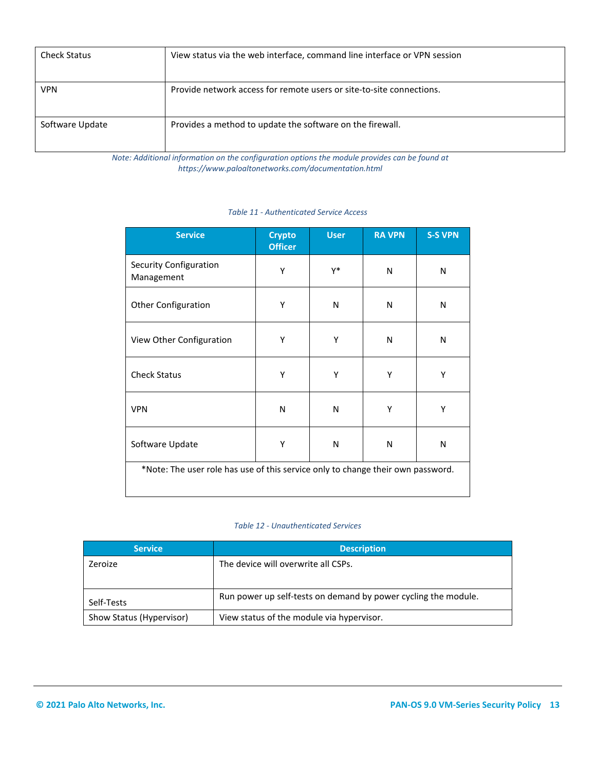| <b>Check Status</b> | View status via the web interface, command line interface or VPN session |
|---------------------|--------------------------------------------------------------------------|
| <b>VPN</b>          | Provide network access for remote users or site-to-site connections.     |
| Software Update     | Provides a method to update the software on the firewall.                |

*Note: Additional information on the configuration options the module provides can be found at https://www.paloaltonetworks.com/documentation.html*

| <b>Service</b>                                                                  | <b>Crypto</b><br><b>Officer</b> | <b>User</b> | <b>RA VPN</b> | <b>S-S VPN</b> |
|---------------------------------------------------------------------------------|---------------------------------|-------------|---------------|----------------|
| Security Configuration<br>Management                                            | Υ                               | γ*          | N             | N              |
| <b>Other Configuration</b>                                                      | Υ                               | N           | N             | N              |
| View Other Configuration                                                        | Υ                               | Υ           | N             | N              |
| <b>Check Status</b>                                                             | Υ                               | Υ           | Υ             | Υ              |
| <b>VPN</b>                                                                      | N                               | N           | Υ             | Υ              |
| Software Update                                                                 | Υ                               | N           | N             | N              |
| *Note: The user role has use of this service only to change their own password. |                                 |             |               |                |

*Table 11 - Authenticated Service Access*

#### *Table 12 - Unauthenticated Services*

| <b>Service</b>           | <b>Description</b>                                             |
|--------------------------|----------------------------------------------------------------|
| Zeroize                  | The device will overwrite all CSPs.                            |
| Self-Tests               | Run power up self-tests on demand by power cycling the module. |
| Show Status (Hypervisor) | View status of the module via hypervisor.                      |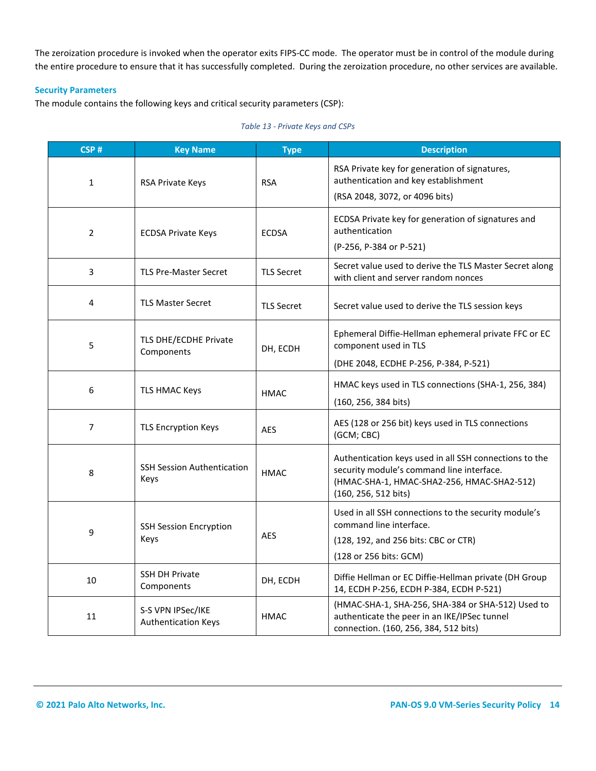The zeroization procedure is invoked when the operator exits FIPS-CC mode. The operator must be in control of the module during the entire procedure to ensure that it has successfully completed. During the zeroization procedure, no other services are available.

#### **Security Parameters**

The module contains the following keys and critical security parameters (CSP):

| CSP#           | <b>Key Name</b>                                 | <b>Type</b>       | <b>Description</b>                                                                                                                                                        |
|----------------|-------------------------------------------------|-------------------|---------------------------------------------------------------------------------------------------------------------------------------------------------------------------|
| $\mathbf{1}$   | RSA Private Keys                                | <b>RSA</b>        | RSA Private key for generation of signatures,<br>authentication and key establishment<br>(RSA 2048, 3072, or 4096 bits)                                                   |
| 2              | <b>ECDSA Private Keys</b>                       | <b>ECDSA</b>      | ECDSA Private key for generation of signatures and<br>authentication<br>(P-256, P-384 or P-521)                                                                           |
| 3              | <b>TLS Pre-Master Secret</b>                    | <b>TLS Secret</b> | Secret value used to derive the TLS Master Secret along<br>with client and server random nonces                                                                           |
| 4              | <b>TLS Master Secret</b>                        | <b>TLS Secret</b> | Secret value used to derive the TLS session keys                                                                                                                          |
| 5              | TLS DHE/ECDHE Private<br>Components             | DH, ECDH          | Ephemeral Diffie-Hellman ephemeral private FFC or EC<br>component used in TLS<br>(DHE 2048, ECDHE P-256, P-384, P-521)                                                    |
| 6              | TLS HMAC Keys                                   | <b>HMAC</b>       | HMAC keys used in TLS connections (SHA-1, 256, 384)<br>(160, 256, 384 bits)                                                                                               |
| $\overline{7}$ | <b>TLS Encryption Keys</b>                      | <b>AES</b>        | AES (128 or 256 bit) keys used in TLS connections<br>(GCM; CBC)                                                                                                           |
| 8              | <b>SSH Session Authentication</b><br>Keys       | <b>HMAC</b>       | Authentication keys used in all SSH connections to the<br>security module's command line interface.<br>(HMAC-SHA-1, HMAC-SHA2-256, HMAC-SHA2-512)<br>(160, 256, 512 bits) |
| 9              | <b>SSH Session Encryption</b><br>Keys           | <b>AES</b>        | Used in all SSH connections to the security module's<br>command line interface.<br>(128, 192, and 256 bits: CBC or CTR)<br>(128 or 256 bits: GCM)                         |
| 10             | <b>SSH DH Private</b><br>Components             | DH, ECDH          | Diffie Hellman or EC Diffie-Hellman private (DH Group<br>14, ECDH P-256, ECDH P-384, ECDH P-521)                                                                          |
| 11             | S-S VPN IPSec/IKE<br><b>Authentication Keys</b> | <b>HMAC</b>       | (HMAC-SHA-1, SHA-256, SHA-384 or SHA-512) Used to<br>authenticate the peer in an IKE/IPSec tunnel<br>connection. (160, 256, 384, 512 bits)                                |

#### *Table 13 - Private Keys and CSPs*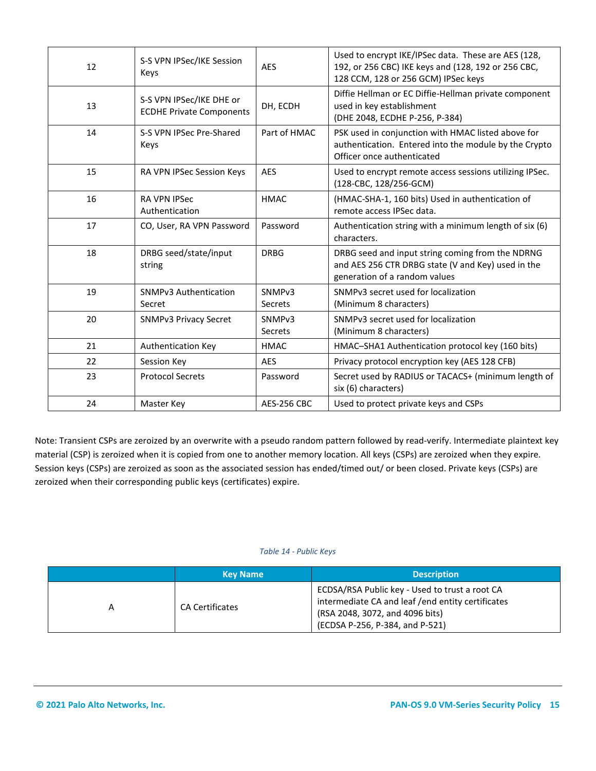| 12 | S-S VPN IPSec/IKE Session<br>Keys                           | <b>AES</b>                           | Used to encrypt IKE/IPSec data. These are AES (128,<br>192, or 256 CBC) IKE keys and (128, 192 or 256 CBC,<br>128 CCM, 128 or 256 GCM) IPSec keys |
|----|-------------------------------------------------------------|--------------------------------------|---------------------------------------------------------------------------------------------------------------------------------------------------|
| 13 | S-S VPN IPSec/IKE DHE or<br><b>ECDHE Private Components</b> | DH, ECDH                             | Diffie Hellman or EC Diffie-Hellman private component<br>used in key establishment<br>(DHE 2048, ECDHE P-256, P-384)                              |
| 14 | S-S VPN IPSec Pre-Shared<br>Keys                            | Part of HMAC                         | PSK used in conjunction with HMAC listed above for<br>authentication. Entered into the module by the Crypto<br>Officer once authenticated         |
| 15 | RA VPN IPSec Session Keys                                   | <b>AES</b>                           | Used to encrypt remote access sessions utilizing IPSec.<br>(128-CBC, 128/256-GCM)                                                                 |
| 16 | <b>RA VPN IPSec</b><br>Authentication                       | <b>HMAC</b>                          | (HMAC-SHA-1, 160 bits) Used in authentication of<br>remote access IPSec data.                                                                     |
| 17 | CO, User, RA VPN Password                                   | Password                             | Authentication string with a minimum length of six (6)<br>characters.                                                                             |
| 18 | DRBG seed/state/input<br>string                             | <b>DRBG</b>                          | DRBG seed and input string coming from the NDRNG<br>and AES 256 CTR DRBG state (V and Key) used in the<br>generation of a random values           |
| 19 | <b>SNMPv3 Authentication</b><br>Secret                      | SNMP <sub>v3</sub><br><b>Secrets</b> | SNMPv3 secret used for localization<br>(Minimum 8 characters)                                                                                     |
| 20 | <b>SNMPv3 Privacy Secret</b>                                | SNMP <sub>v3</sub><br>Secrets        | SNMPv3 secret used for localization<br>(Minimum 8 characters)                                                                                     |
| 21 | Authentication Key                                          | <b>HMAC</b>                          | HMAC-SHA1 Authentication protocol key (160 bits)                                                                                                  |
| 22 | Session Key                                                 | <b>AES</b>                           | Privacy protocol encryption key (AES 128 CFB)                                                                                                     |
| 23 | <b>Protocol Secrets</b>                                     | Password                             | Secret used by RADIUS or TACACS+ (minimum length of<br>six (6) characters)                                                                        |
| 24 | Master Key                                                  | <b>AES-256 CBC</b>                   | Used to protect private keys and CSPs                                                                                                             |

Note: Transient CSPs are zeroized by an overwrite with a pseudo random pattern followed by read-verify. Intermediate plaintext key material (CSP) is zeroized when it is copied from one to another memory location. All keys (CSPs) are zeroized when they expire. Session keys (CSPs) are zeroized as soon as the associated session has ended/timed out/ or been closed. Private keys (CSPs) are zeroized when their corresponding public keys (certificates) expire.

#### *Table 14 - Public Keys*

| <b>Key Name</b>        | <b>Description</b>                                                                                                                                                         |
|------------------------|----------------------------------------------------------------------------------------------------------------------------------------------------------------------------|
| <b>CA Certificates</b> | ECDSA/RSA Public key - Used to trust a root CA<br>intermediate CA and leaf / end entity certificates<br>(RSA 2048, 3072, and 4096 bits)<br>(ECDSA P-256, P-384, and P-521) |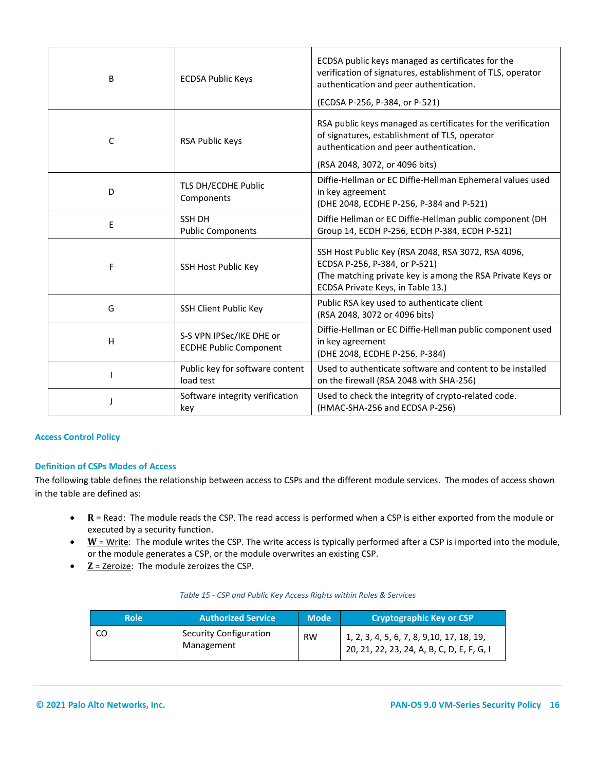| B            | <b>ECDSA Public Keys</b>                                  | ECDSA public keys managed as certificates for the<br>verification of signatures, establishment of TLS, operator<br>authentication and peer authentication.<br>(ECDSA P-256, P-384, or P-521) |
|--------------|-----------------------------------------------------------|----------------------------------------------------------------------------------------------------------------------------------------------------------------------------------------------|
| $\mathsf{C}$ | <b>RSA Public Keys</b>                                    | RSA public keys managed as certificates for the verification<br>of signatures, establishment of TLS, operator<br>authentication and peer authentication.<br>(RSA 2048, 3072, or 4096 bits)   |
| D            | TLS DH/ECDHE Public<br>Components                         | Diffie-Hellman or EC Diffie-Hellman Ephemeral values used<br>in key agreement<br>(DHE 2048, ECDHE P-256, P-384 and P-521)                                                                    |
| E            | <b>SSH DH</b><br><b>Public Components</b>                 | Diffie Hellman or EC Diffie-Hellman public component (DH<br>Group 14, ECDH P-256, ECDH P-384, ECDH P-521)                                                                                    |
| F            | SSH Host Public Key                                       | SSH Host Public Key (RSA 2048, RSA 3072, RSA 4096,<br>ECDSA P-256, P-384, or P-521)<br>(The matching private key is among the RSA Private Keys or<br>ECDSA Private Keys, in Table 13.)       |
| G            | SSH Client Public Key                                     | Public RSA key used to authenticate client<br>(RSA 2048, 3072 or 4096 bits)                                                                                                                  |
| H            | S-S VPN IPSec/IKE DHE or<br><b>ECDHE Public Component</b> | Diffie-Hellman or EC Diffie-Hellman public component used<br>in key agreement<br>(DHE 2048, ECDHE P-256, P-384)                                                                              |
|              | Public key for software content<br>load test              | Used to authenticate software and content to be installed<br>on the firewall (RSA 2048 with SHA-256)                                                                                         |
|              | Software integrity verification<br>key                    | Used to check the integrity of crypto-related code.<br>(HMAC-SHA-256 and ECDSA P-256)                                                                                                        |

#### **Access Control Policy**

#### **Definition of CSPs Modes of Access**

The following table defines the relationship between access to CSPs and the different module services. The modes of access shown in the table are defined as:

- **R** = Read: The module reads the CSP. The read access is performed when a CSP is either exported from the module or executed by a security function.
- **W** = Write: The module writes the CSP. The write access is typically performed after a CSP is imported into the module, or the module generates a CSP, or the module overwrites an existing CSP.
- **Z** = Zeroize: The module zeroizes the CSP.

| Table 15 - CSP and Public Key Access Rights within Roles & Services |  |
|---------------------------------------------------------------------|--|
|---------------------------------------------------------------------|--|

| Role | <b>Authorized Service</b>            | <b>Mode</b> | Cryptographic Key or CSP                                                                   |
|------|--------------------------------------|-------------|--------------------------------------------------------------------------------------------|
|      | Security Configuration<br>Management | <b>RW</b>   | $1, 2, 3, 4, 5, 6, 7, 8, 9, 10, 17, 18, 19,$<br>20, 21, 22, 23, 24, A, B, C, D, E, F, G, I |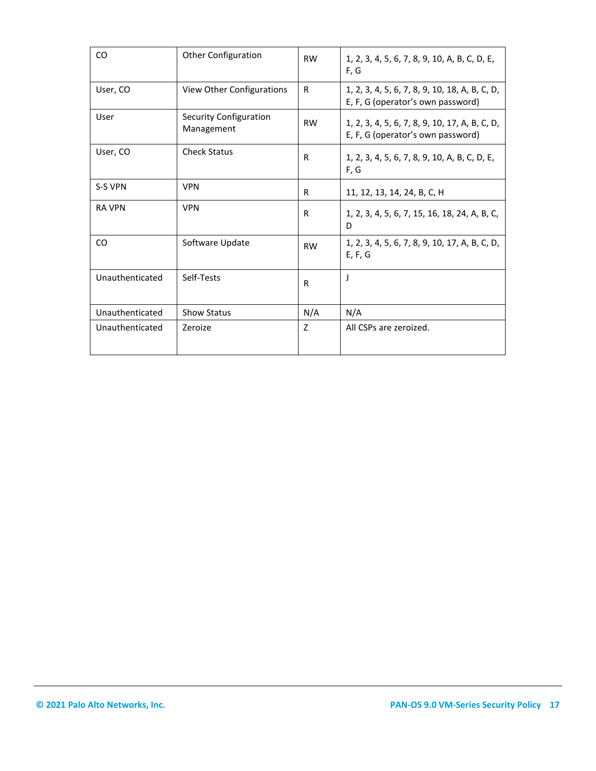<span id="page-16-0"></span>

| CO              | <b>Other Configuration</b>           | <b>RW</b>      | 1, 2, 3, 4, 5, 6, 7, 8, 9, 10, A, B, C, D, E,<br>F, G                               |
|-----------------|--------------------------------------|----------------|-------------------------------------------------------------------------------------|
| User, CO        | View Other Configurations            | R              | 1, 2, 3, 4, 5, 6, 7, 8, 9, 10, 18, A, B, C, D,<br>E, F, G (operator's own password) |
| User            | Security Configuration<br>Management | <b>RW</b>      | 1, 2, 3, 4, 5, 6, 7, 8, 9, 10, 17, A, B, C, D,<br>E, F, G (operator's own password) |
| User, CO        | <b>Check Status</b>                  | R              | 1, 2, 3, 4, 5, 6, 7, 8, 9, 10, A, B, C, D, E,<br>F, G                               |
| S-S VPN         | <b>VPN</b>                           | R              | 11, 12, 13, 14, 24, B, C, H                                                         |
| <b>RA VPN</b>   | <b>VPN</b>                           | R              | 1, 2, 3, 4, 5, 6, 7, 15, 16, 18, 24, A, B, C,<br>D                                  |
| CO              | Software Update                      | <b>RW</b>      | 1, 2, 3, 4, 5, 6, 7, 8, 9, 10, 17, A, B, C, D,<br>E, F, G                           |
| Unauthenticated | Self-Tests                           | R              | J                                                                                   |
| Unauthenticated | <b>Show Status</b>                   | N/A            | N/A                                                                                 |
| Unauthenticated | Zeroize                              | $\overline{z}$ | All CSPs are zeroized.                                                              |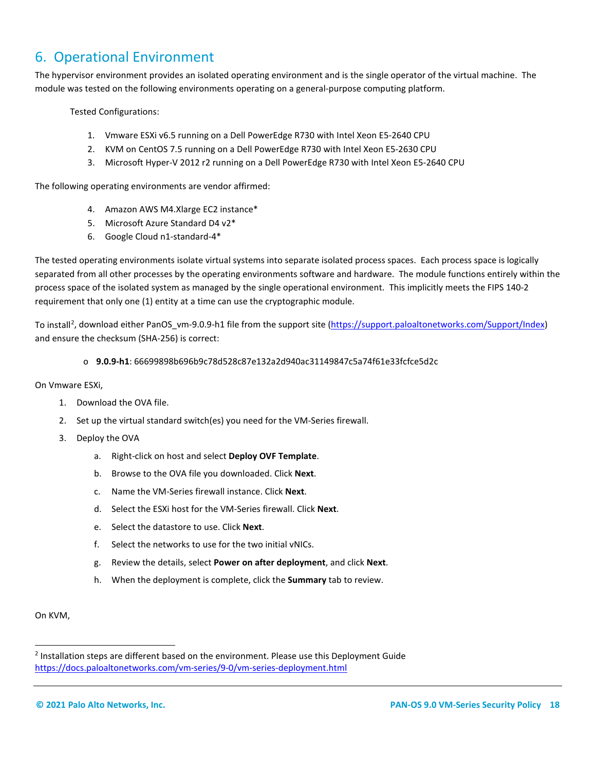# 6. Operational Environment

The hypervisor environment provides an isolated operating environment and is the single operator of the virtual machine. The module was tested on the following environments operating on a general-purpose computing platform.

Tested Configurations:

- 1. Vmware ESXi v6.5 running on a Dell PowerEdge R730 with Intel Xeon E5-2640 CPU
- 2. KVM on CentOS 7.5 running on a Dell PowerEdge R730 with Intel Xeon E5-2630 CPU
- 3. Microsoft Hyper-V 2012 r2 running on a Dell PowerEdge R730 with Intel Xeon E5-2640 CPU

The following operating environments are vendor affirmed:

- 4. Amazon AWS M4.Xlarge EC2 instance\*
- 5. Microsoft Azure Standard D4 v2\*
- 6. Google Cloud n1-standard-4\*

The tested operating environments isolate virtual systems into separate isolated process spaces. Each process space is logically separated from all other processes by the operating environments software and hardware. The module functions entirely within the process space of the isolated system as managed by the single operational environment. This implicitly meets the FIPS 140-2 requirement that only one (1) entity at a time can use the cryptographic module.

To install<sup>[2](#page-17-0)</sup>, download either PanOS\_vm-9.0.9-h1 file from the support site [\(https://support.paloaltonetworks.com/Support/Index\)](https://support.paloaltonetworks.com/Support/Index) and ensure the checksum (SHA-256) is correct:

#### o **9.0.9-h1**: 66699898b696b9c78d528c87e132a2d940ac31149847c5a74f61e33fcfce5d2c

On Vmware ESXi,

- 1. Download the OVA file.
- 2. Set up the virtual standard switch(es) you need for the VM-Series firewall.
- 3. Deploy the OVA
	- a. Right-click on host and select **Deploy OVF Template**.
	- b. Browse to the OVA file you downloaded. Click **Next**.
	- c. Name the VM-Series firewall instance. Click **Next**.
	- d. Select the ESXi host for the VM-Series firewall. Click **Next**.
	- e. Select the datastore to use. Click **Next**.
	- f. Select the networks to use for the two initial vNICs.
	- g. Review the details, select **Power on after deployment**, and click **Next**.
	- h. When the deployment is complete, click the **Summary** tab to review.

On KVM,

<span id="page-17-0"></span> $<sup>2</sup>$  Installation steps are different based on the environment. Please use this Deployment Guide</sup> <https://docs.paloaltonetworks.com/vm-series/9-0/vm-series-deployment.html>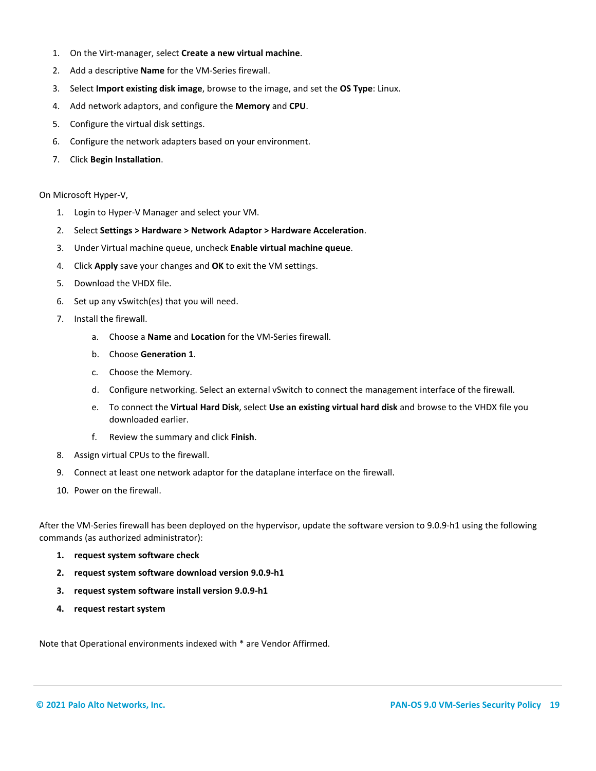- 1. On the Virt-manager, select **Create a new virtual machine**.
- 2. Add a descriptive **Name** for the VM-Series firewall.
- 3. Select **Import existing disk image**, browse to the image, and set the **OS Type**: Linux.
- 4. Add network adaptors, and configure the **Memory** and **CPU**.
- 5. Configure the virtual disk settings.
- 6. Configure the network adapters based on your environment.
- 7. Click **Begin Installation**.

On Microsoft Hyper-V,

- 1. Login to Hyper-V Manager and select your VM.
- 2. Select **Settings > Hardware > Network Adaptor > Hardware Acceleration**.
- 3. Under Virtual machine queue, uncheck **Enable virtual machine queue**.
- 4. Click **Apply** save your changes and **OK** to exit the VM settings.
- 5. Download the VHDX file.
- 6. Set up any vSwitch(es) that you will need.
- 7. Install the firewall.
	- a. Choose a **Name** and **Location** for the VM-Series firewall.
	- b. Choose **Generation 1**.
	- c. Choose the Memory.
	- d. Configure networking. Select an external vSwitch to connect the management interface of the firewall.
	- e. To connect the **Virtual Hard Disk**, select **Use an existing virtual hard disk** and browse to the VHDX file you downloaded earlier.
	- f. Review the summary and click **Finish**.
- 8. Assign virtual CPUs to the firewall.
- 9. Connect at least one network adaptor for the dataplane interface on the firewall.
- 10. Power on the firewall.

After the VM-Series firewall has been deployed on the hypervisor, update the software version to 9.0.9-h1 using the following commands (as authorized administrator):

- **1. request system software check**
- **2. request system software download version 9.0.9-h1**
- **3. request system software install version 9.0.9-h1**
- **4. request restart system**

Note that Operational environments indexed with \* are Vendor Affirmed.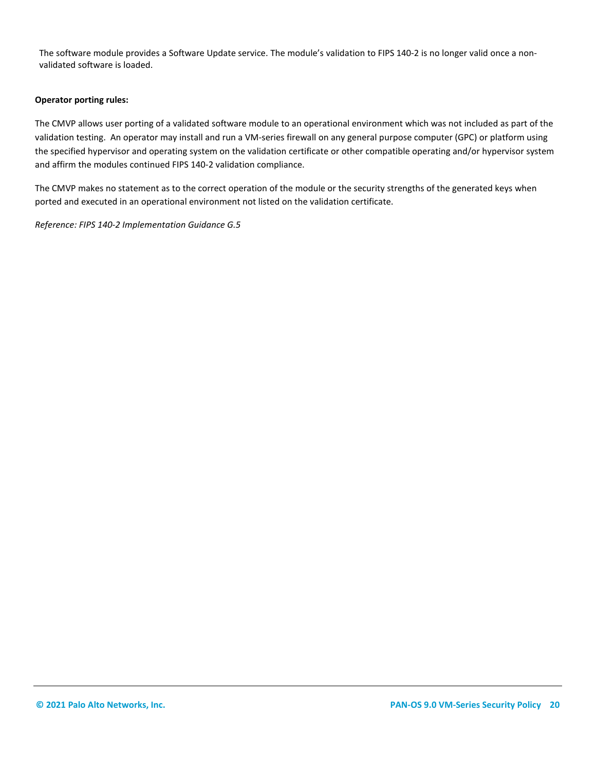The software module provides a Software Update service. The module's validation to FIPS 140-2 is no longer valid once a nonvalidated software is loaded.

#### **Operator porting rules:**

The CMVP allows user porting of a validated software module to an operational environment which was not included as part of the validation testing. An operator may install and run a VM-series firewall on any general purpose computer (GPC) or platform using the specified hypervisor and operating system on the validation certificate or other compatible operating and/or hypervisor system and affirm the modules continued FIPS 140-2 validation compliance.

The CMVP makes no statement as to the correct operation of the module or the security strengths of the generated keys when ported and executed in an operational environment not listed on the validation certificate.

*Reference: FIPS 140-2 Implementation Guidance G.5*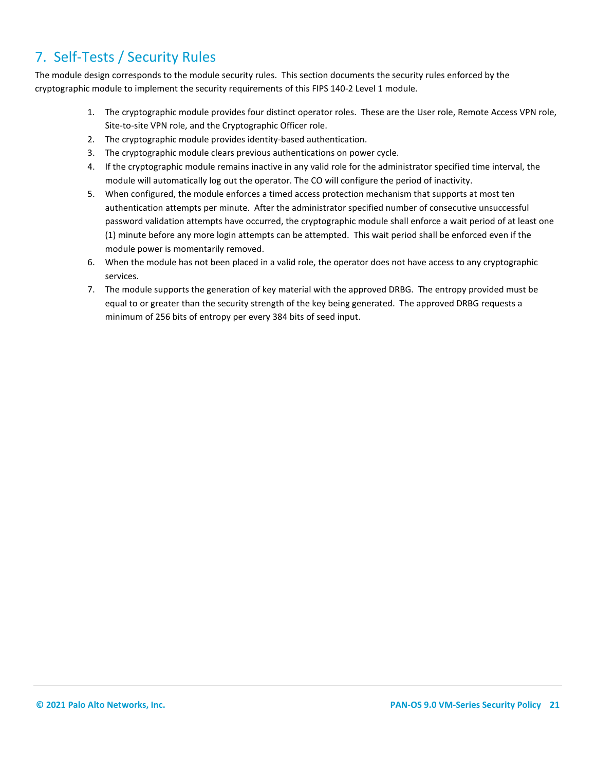# <span id="page-20-0"></span>7. Self-Tests / Security Rules

The module design corresponds to the module security rules. This section documents the security rules enforced by the cryptographic module to implement the security requirements of this FIPS 140-2 Level 1 module.

- 1. The cryptographic module provides four distinct operator roles. These are the User role, Remote Access VPN role, Site-to-site VPN role, and the Cryptographic Officer role.
- 2. The cryptographic module provides identity-based authentication.
- 3. The cryptographic module clears previous authentications on power cycle.
- 4. If the cryptographic module remains inactive in any valid role for the administrator specified time interval, the module will automatically log out the operator. The CO will configure the period of inactivity.
- 5. When configured, the module enforces a timed access protection mechanism that supports at most ten authentication attempts per minute. After the administrator specified number of consecutive unsuccessful password validation attempts have occurred, the cryptographic module shall enforce a wait period of at least one (1) minute before any more login attempts can be attempted. This wait period shall be enforced even if the module power is momentarily removed.
- 6. When the module has not been placed in a valid role, the operator does not have access to any cryptographic services.
- 7. The module supports the generation of key material with the approved DRBG. The entropy provided must be equal to or greater than the security strength of the key being generated. The approved DRBG requests a minimum of 256 bits of entropy per every 384 bits of seed input.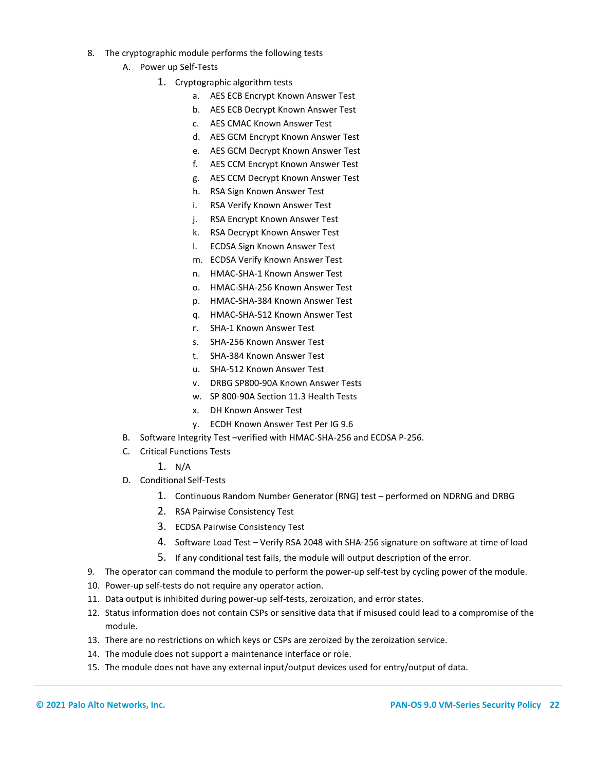- 8. The cryptographic module performs the following tests
	- A. Power up Self-Tests
		- 1. Cryptographic algorithm tests
			- a. AES ECB Encrypt Known Answer Test
			- b. AES ECB Decrypt Known Answer Test
			- c. AES CMAC Known Answer Test
			- d. AES GCM Encrypt Known Answer Test
			- e. AES GCM Decrypt Known Answer Test
			- f. AES CCM Encrypt Known Answer Test
			- g. AES CCM Decrypt Known Answer Test
			- h. RSA Sign Known Answer Test
			- i. RSA Verify Known Answer Test
			- j. RSA Encrypt Known Answer Test
			- k. RSA Decrypt Known Answer Test
			- l. ECDSA Sign Known Answer Test
			- m. ECDSA Verify Known Answer Test
			- n. HMAC-SHA-1 Known Answer Test
			- o. HMAC-SHA-256 Known Answer Test
			- p. HMAC-SHA-384 Known Answer Test
			- q. HMAC-SHA-512 Known Answer Test
			- r. SHA-1 Known Answer Test
			- s. SHA-256 Known Answer Test
			- t. SHA-384 Known Answer Test
			- u. SHA-512 Known Answer Test
			- v. DRBG SP800-90A Known Answer Tests
			- w. SP 800-90A Section 11.3 Health Tests
			- x. DH Known Answer Test
			- y. ECDH Known Answer Test Per IG 9.6
	- B. Software Integrity Test –verified with HMAC-SHA-256 and ECDSA P-256.
	- C. Critical Functions Tests
		- 1. N/A
	- D. Conditional Self-Tests
		- 1. Continuous Random Number Generator (RNG) test performed on NDRNG and DRBG
		- 2. RSA Pairwise Consistency Test
		- 3. ECDSA Pairwise Consistency Test
		- 4. Software Load Test Verify RSA 2048 with SHA-256 signature on software at time of load
		- 5. If any conditional test fails, the module will output description of the error.
- 9. The operator can command the module to perform the power-up self-test by cycling power of the module.
- 10. Power-up self-tests do not require any operator action.
- 11. Data output is inhibited during power-up self-tests, zeroization, and error states.
- 12. Status information does not contain CSPs or sensitive data that if misused could lead to a compromise of the module.
- 13. There are no restrictions on which keys or CSPs are zeroized by the zeroization service.
- 14. The module does not support a maintenance interface or role.
- 15. The module does not have any external input/output devices used for entry/output of data.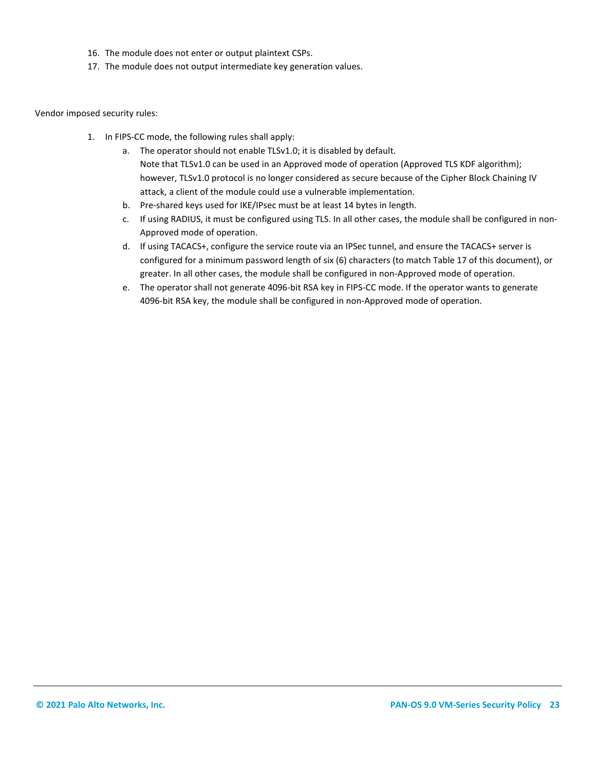- 16. The module does not enter or output plaintext CSPs.
- 17. The module does not output intermediate key generation values.

Vendor imposed security rules:

- 1. In FIPS-CC mode, the following rules shall apply:
	- a. The operator should not enable TLSv1.0; it is disabled by default. Note that TLSv1.0 can be used in an Approved mode of operation (Approved TLS KDF algorithm); however, TLSv1.0 protocol is no longer considered as secure because of the Cipher Block Chaining IV attack, a client of the module could use a vulnerable implementation.
	- b. Pre-shared keys used for IKE/IPsec must be at least 14 bytes in length.
	- c. If using RADIUS, it must be configured using TLS. In all other cases, the module shall be configured in non-Approved mode of operation.
	- d. If using TACACS+, configure the service route via an IPSec tunnel, and ensure the TACACS+ server is configured for a minimum password length of six (6) characters (to match Table 17 of this document), or greater. In all other cases, the module shall be configured in non-Approved mode of operation.
	- e. The operator shall not generate 4096-bit RSA key in FIPS-CC mode. If the operator wants to generate 4096-bit RSA key, the module shall be configured in non-Approved mode of operation.